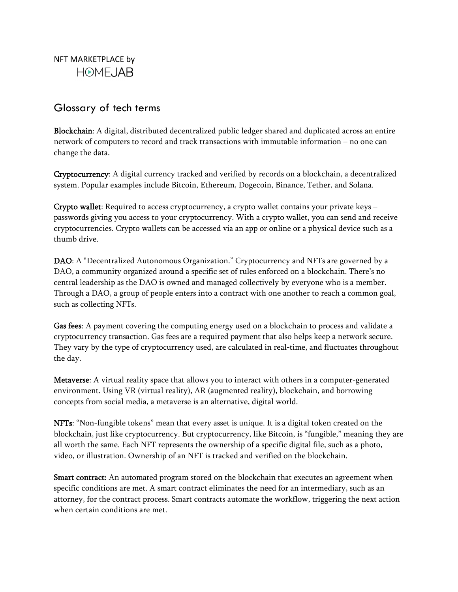NFT MARKETPLACE by **HOMEJAB** 

## Glossary of tech terms

Blockchain: A digital, distributed decentralized public ledger shared and duplicated across an entire network of computers to record and track transactions with immutable information – no one can change the data.

Cryptocurrency: A digital currency tracked and verified by records on a blockchain, a decentralized system. Popular examples include Bitcoin, Ethereum, Dogecoin, Binance, Tether, and Solana.

Crypto wallet: Required to access cryptocurrency, a crypto wallet contains your private keys – passwords giving you access to your cryptocurrency. With a crypto wallet, you can send and receive cryptocurrencies. Crypto wallets can be accessed via an app or online or a physical device such as a thumb drive.

DAO: A "Decentralized Autonomous Organization." Cryptocurrency and NFTs are governed by a DAO, a community organized around a specific set of rules enforced on a blockchain. There's no central leadership as the DAO is owned and managed collectively by everyone who is a member. Through a DAO, a group of people enters into a contract with one another to reach a common goal, such as collecting NFTs.

Gas fees: A payment covering the computing energy used on a blockchain to process and validate a cryptocurrency transaction. Gas fees are a required payment that also helps keep a network secure. They vary by the type of cryptocurrency used, are calculated in real-time, and fluctuates throughout the day.

Metaverse: A virtual reality space that allows you to interact with others in a computer-generated environment. Using VR (virtual reality), AR (augmented reality), blockchain, and borrowing concepts from social media, a metaverse is an alternative, digital world.

NFTs: "Non-fungible tokens" mean that every asset is unique. It is a digital token created on the blockchain, just like cryptocurrency. But cryptocurrency, like Bitcoin, is "fungible," meaning they are all worth the same. Each NFT represents the ownership of a specific digital file, such as a photo, video, or illustration. Ownership of an NFT is tracked and verified on the blockchain.

**Smart contract:** An automated program stored on the blockchain that executes an agreement when specific conditions are met. A smart contract eliminates the need for an intermediary, such as an attorney, for the contract process. Smart contracts automate the workflow, triggering the next action when certain conditions are met.